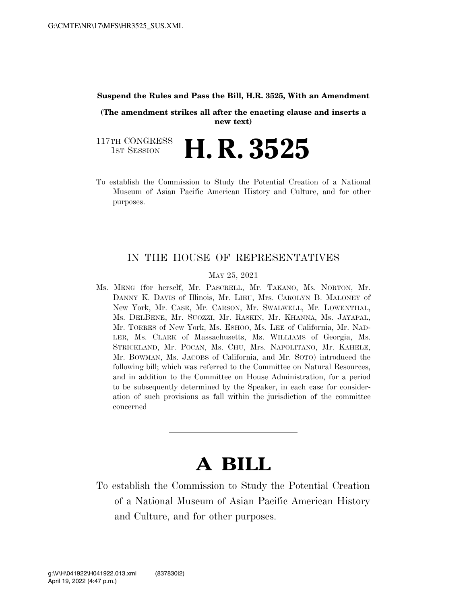#### **Suspend the Rules and Pass the Bill, H.R. 3525, With an Amendment**

**(The amendment strikes all after the enacting clause and inserts a new text)** 

117TH CONGRESS<br>1st Session H. R. 3525

To establish the Commission to Study the Potential Creation of a National Museum of Asian Pacific American History and Culture, and for other purposes.

### IN THE HOUSE OF REPRESENTATIVES

#### MAY 25, 2021

Ms. MENG (for herself, Mr. PASCRELL, Mr. TAKANO, Ms. NORTON, Mr. DANNY K. DAVIS of Illinois, Mr. LIEU, Mrs. CAROLYN B. MALONEY of New York, Mr. CASE, Mr. CARSON, Mr. SWALWELL, Mr. LOWENTHAL, Ms. DELBENE, Mr. SUOZZI, Mr. RASKIN, Mr. KHANNA, Ms. JAYAPAL, Mr. TORRES of New York, Ms. ESHOO, Ms. LEE of California, Mr. NAD-LER, Ms. CLARK of Massachusetts, Ms. WILLIAMS of Georgia, Ms. STRICKLAND, Mr. POCAN, Ms. CHU, Mrs. NAPOLITANO, Mr. KAHELE, Mr. BOWMAN, Ms. JACOBS of California, and Mr. SOTO) introduced the following bill; which was referred to the Committee on Natural Resources, and in addition to the Committee on House Administration, for a period to be subsequently determined by the Speaker, in each case for consideration of such provisions as fall within the jurisdiction of the committee concerned

# **A BILL**

To establish the Commission to Study the Potential Creation of a National Museum of Asian Pacific American History and Culture, and for other purposes.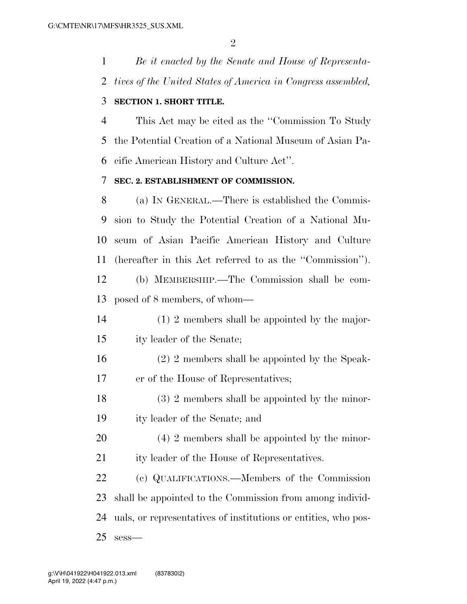*Be it enacted by the Senate and House of Representa-tives of the United States of America in Congress assembled,* 

## **SECTION 1. SHORT TITLE.**

 This Act may be cited as the ''Commission To Study the Potential Creation of a National Museum of Asian Pa-cific American History and Culture Act''.

## **SEC. 2. ESTABLISHMENT OF COMMISSION.**

 (a) IN GENERAL.—There is established the Commis- sion to Study the Potential Creation of a National Mu- seum of Asian Pacific American History and Culture (hereafter in this Act referred to as the ''Commission''). (b) MEMBERSHIP.—The Commission shall be com-

posed of 8 members, of whom—

- (1) 2 members shall be appointed by the major-
- ity leader of the Senate;
- (2) 2 members shall be appointed by the Speak-er of the House of Representatives;
- 18 (3) 2 members shall be appointed by the minor-ity leader of the Senate; and
- (4) 2 members shall be appointed by the minor-ity leader of the House of Representatives.

 (c) QUALIFICATIONS.—Members of the Commission shall be appointed to the Commission from among individ- uals, or representatives of institutions or entities, who pos-sess—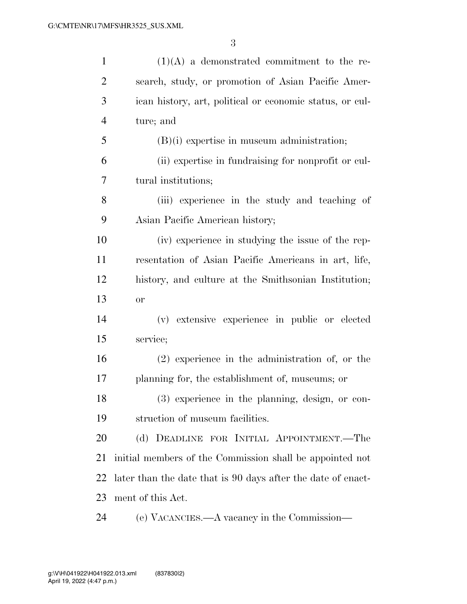| $\mathbf{1}$   | $(1)(A)$ a demonstrated commitment to the re-                |
|----------------|--------------------------------------------------------------|
| $\overline{2}$ | search, study, or promotion of Asian Pacific Amer-           |
| 3              | ican history, art, political or economic status, or cul-     |
| $\overline{4}$ | ture; and                                                    |
| 5              | $(B)(i)$ expertise in museum administration;                 |
| 6              | (ii) expertise in fundraising for nonprofit or cul-          |
| 7              | tural institutions;                                          |
| 8              | (iii) experience in the study and teaching of                |
| 9              | Asian Pacific American history;                              |
| 10             | (iv) experience in studying the issue of the rep-            |
| 11             | resentation of Asian Pacific Americans in art, life,         |
| 12             | history, and culture at the Smithsonian Institution;         |
| 13             | or                                                           |
| 14             | (v) extensive experience in public or elected                |
| 15             | service;                                                     |
| 16             | $(2)$ experience in the administration of, or the            |
| 17             | planning for, the establishment of, museums; or              |
| 18             | $(3)$ experience in the planning, design, or con-            |
| 19             | struction of museum facilities.                              |
| 20             | (d) DEADLINE FOR INITIAL APPOINTMENT.—The                    |
| 21             | initial members of the Commission shall be appointed not     |
| 22             | later than the date that is 90 days after the date of enact- |
| 23             | ment of this Act.                                            |
| 24             | (e) VACANCIES.—A vacancy in the Commission—                  |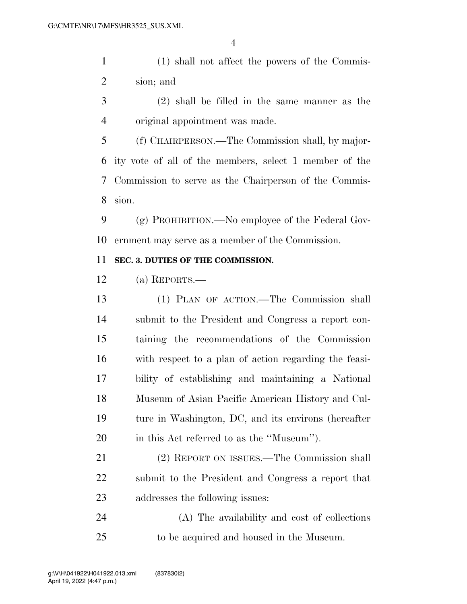(1) shall not affect the powers of the Commis-sion; and

 (2) shall be filled in the same manner as the original appointment was made.

 (f) CHAIRPERSON.—The Commission shall, by major- ity vote of all of the members, select 1 member of the Commission to serve as the Chairperson of the Commis-sion.

 (g) PROHIBITION.—No employee of the Federal Gov-ernment may serve as a member of the Commission.

### **SEC. 3. DUTIES OF THE COMMISSION.**

(a) REPORTS.—

 (1) PLAN OF ACTION.—The Commission shall submit to the President and Congress a report con- taining the recommendations of the Commission with respect to a plan of action regarding the feasi- bility of establishing and maintaining a National Museum of Asian Pacific American History and Cul- ture in Washington, DC, and its environs (hereafter in this Act referred to as the ''Museum'').

 (2) REPORT ON ISSUES.—The Commission shall submit to the President and Congress a report that addresses the following issues:

 (A) The availability and cost of collections to be acquired and housed in the Museum.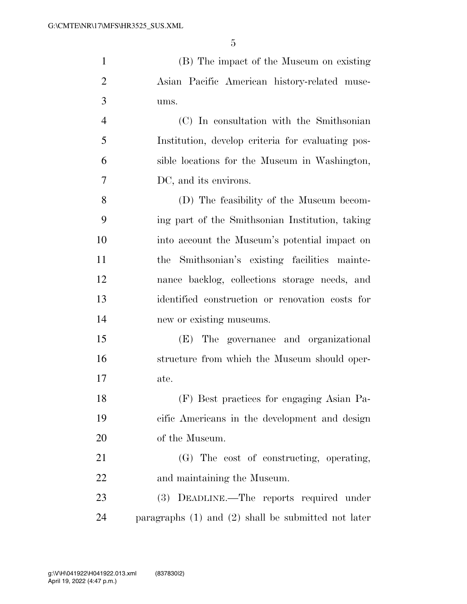| $\mathbf{1}$   | (B) The impact of the Museum on existing                |
|----------------|---------------------------------------------------------|
| $\overline{2}$ | Asian Pacific American history-related muse-            |
| 3              | ums.                                                    |
| $\overline{4}$ | (C) In consultation with the Smithsonian                |
| 5              | Institution, develop criteria for evaluating pos-       |
| 6              | sible locations for the Museum in Washington,           |
| 7              | DC, and its environs.                                   |
| 8              | (D) The feasibility of the Museum becom-                |
| 9              | ing part of the Smithsonian Institution, taking         |
| 10             | into account the Museum's potential impact on           |
| 11             | the Smithsonian's existing facilities mainte-           |
| 12             | nance backlog, collections storage needs, and           |
| 13             | identified construction or renovation costs for         |
| 14             | new or existing museums.                                |
| 15             | (E) The governance and organizational                   |
| 16             | structure from which the Museum should oper-            |
| 17             | ate.                                                    |
| 18             | (F) Best practices for engaging Asian Pa-               |
| 19             | cific Americans in the development and design           |
| 20             | of the Museum.                                          |
| 21             | (G) The cost of constructing, operating,                |
| 22             | and maintaining the Museum.                             |
| 23             | (3) DEADLINE.—The reports required under                |
| 24             | paragraphs $(1)$ and $(2)$ shall be submitted not later |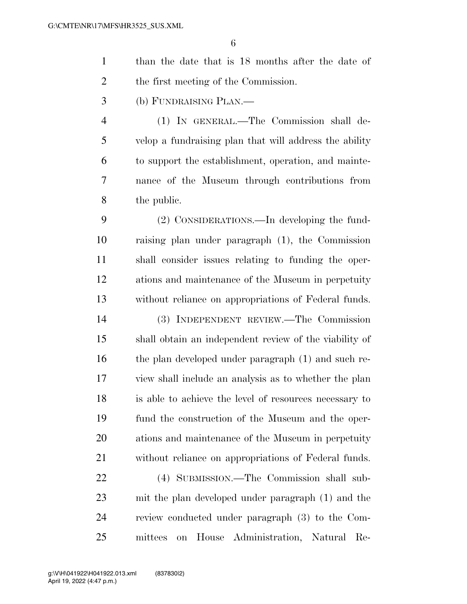|                | 6                                                      |
|----------------|--------------------------------------------------------|
| $\mathbf{1}$   | than the date that is 18 months after the date of      |
| $\overline{2}$ | the first meeting of the Commission.                   |
| 3              | (b) FUNDRAISING PLAN.—                                 |
| $\overline{4}$ | (1) IN GENERAL.—The Commission shall de-               |
| 5              | velop a fundraising plan that will address the ability |
| 6              | to support the establishment, operation, and mainte-   |
| 7              | nance of the Museum through contributions from         |
| 8              | the public.                                            |
| 9              | (2) CONSIDERATIONS.—In developing the fund-            |
| 10             | raising plan under paragraph (1), the Commission       |
| 11             | shall consider issues relating to funding the oper-    |
| 12             | ations and maintenance of the Museum in perpetuity     |
| 13             | without reliance on appropriations of Federal funds.   |
| 14             | (3) INDEPENDENT REVIEW.—The Commission                 |
| 15             | shall obtain an independent review of the viability of |
| 16             | the plan developed under paragraph (1) and such re-    |

 (4) SUBMISSION.—The Commission shall sub- mit the plan developed under paragraph (1) and the review conducted under paragraph (3) to the Com-mittees on House Administration, Natural Re-

view shall include an analysis as to whether the plan

is able to achieve the level of resources necessary to

fund the construction of the Museum and the oper-

ations and maintenance of the Museum in perpetuity

without reliance on appropriations of Federal funds.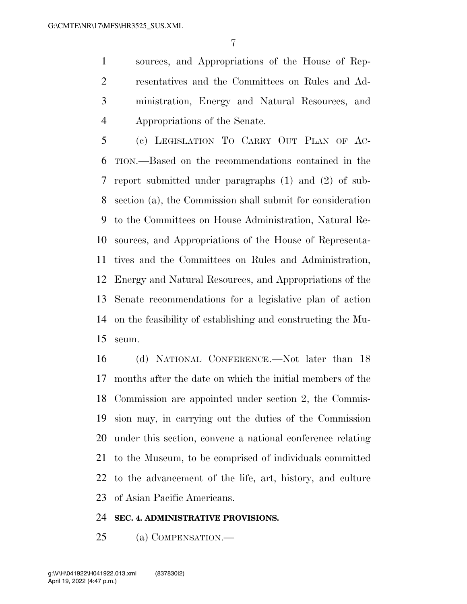sources, and Appropriations of the House of Rep- resentatives and the Committees on Rules and Ad- ministration, Energy and Natural Resources, and Appropriations of the Senate.

 (c) LEGISLATION TO CARRY OUT PLAN OF AC- TION.—Based on the recommendations contained in the report submitted under paragraphs (1) and (2) of sub- section (a), the Commission shall submit for consideration to the Committees on House Administration, Natural Re- sources, and Appropriations of the House of Representa- tives and the Committees on Rules and Administration, Energy and Natural Resources, and Appropriations of the Senate recommendations for a legislative plan of action on the feasibility of establishing and constructing the Mu-seum.

 (d) NATIONAL CONFERENCE.—Not later than 18 months after the date on which the initial members of the Commission are appointed under section 2, the Commis- sion may, in carrying out the duties of the Commission under this section, convene a national conference relating to the Museum, to be comprised of individuals committed to the advancement of the life, art, history, and culture of Asian Pacific Americans.

#### **SEC. 4. ADMINISTRATIVE PROVISIONS.**

(a) COMPENSATION.—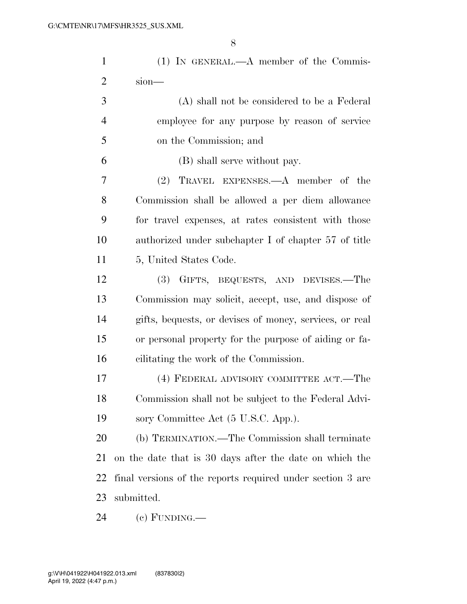| $\mathbf{1}$   | $(1)$ IN GENERAL.—A member of the Commis-                  |
|----------------|------------------------------------------------------------|
| $\overline{2}$ | $sion$ —                                                   |
| 3              | (A) shall not be considered to be a Federal                |
| $\overline{4}$ | employee for any purpose by reason of service              |
| 5              | on the Commission; and                                     |
| 6              | (B) shall serve without pay.                               |
| 7              | (2) TRAVEL EXPENSES.—A member of the                       |
| 8              | Commission shall be allowed a per diem allowance           |
| 9              | for travel expenses, at rates consistent with those        |
| 10             | authorized under subchapter I of chapter 57 of title       |
| 11             | 5, United States Code.                                     |
| 12             | (3) GIFTS, BEQUESTS, AND DEVISES.—The                      |
| 13             | Commission may solicit, accept, use, and dispose of        |
| 14             | gifts, bequests, or devises of money, services, or real    |
| 15             | or personal property for the purpose of aiding or fa-      |
| 16             | cilitating the work of the Commission.                     |
| 17             | (4) FEDERAL ADVISORY COMMITTEE ACT.—The                    |
| 18             | Commission shall not be subject to the Federal Advi-       |
| 19             | sory Committee Act (5 U.S.C. App.).                        |
| 20             | (b) TERMINATION.—The Commission shall terminate            |
| 21             | on the date that is 30 days after the date on which the    |
| 22             | final versions of the reports required under section 3 are |
| 23             | submitted.                                                 |
| 24             | $(e)$ FUNDING.—                                            |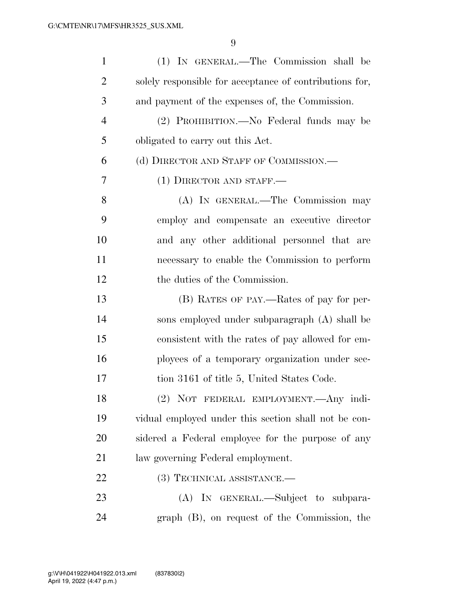| $\mathbf{1}$   | (1) IN GENERAL.—The Commission shall be                 |
|----------------|---------------------------------------------------------|
| $\overline{2}$ | solely responsible for acceptance of contributions for, |
| 3              | and payment of the expenses of, the Commission.         |
| $\overline{4}$ | (2) PROHIBITION.—No Federal funds may be                |
| 5              | obligated to carry out this Act.                        |
| 6              | (d) DIRECTOR AND STAFF OF COMMISSION.—                  |
| 7              | $(1)$ DIRECTOR AND STAFF.—                              |
| 8              | (A) IN GENERAL.—The Commission may                      |
| 9              | employ and compensate an executive director             |
| 10             | and any other additional personnel that are             |
| 11             | necessary to enable the Commission to perform           |
| 12             | the duties of the Commission.                           |
| 13             | (B) RATES OF PAY.—Rates of pay for per-                 |
| 14             | sons employed under subparagraph (A) shall be           |
| 15             | consistent with the rates of pay allowed for em-        |
| 16             | ployees of a temporary organization under sec-          |
| 17             | tion 3161 of title 5, United States Code.               |
| 18             | (2) NOT FEDERAL EMPLOYMENT. Any indi-                   |
| 19             | vidual employed under this section shall not be con-    |
| 20             | sidered a Federal employee for the purpose of any       |
| 21             | law governing Federal employment.                       |
| 22             | $(3)$ TECHNICAL ASSISTANCE.—                            |
| 23             | (A) IN GENERAL.—Subject to subpara-                     |
| 24             | graph (B), on request of the Commission, the            |